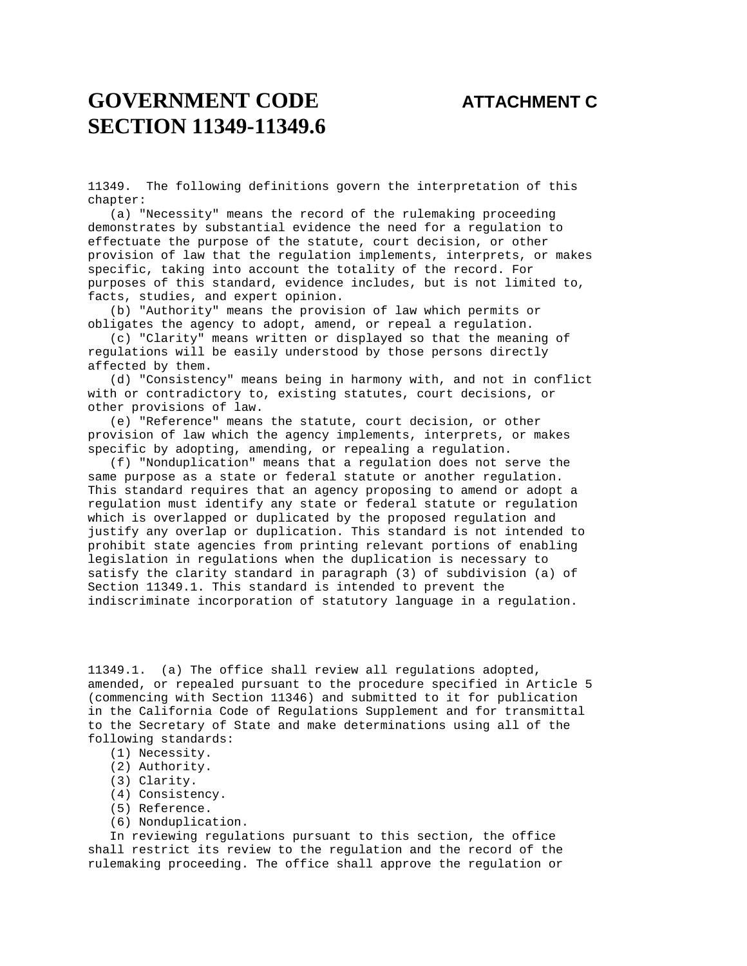## **GOVERNMENT CODE ATTACHMENT C SECTION 11349-11349.6**

11349. The following definitions govern the interpretation of this chapter:

 (a) "Necessity" means the record of the rulemaking proceeding demonstrates by substantial evidence the need for a regulation to effectuate the purpose of the statute, court decision, or other provision of law that the regulation implements, interprets, or makes specific, taking into account the totality of the record. For purposes of this standard, evidence includes, but is not limited to, facts, studies, and expert opinion.

 (b) "Authority" means the provision of law which permits or obligates the agency to adopt, amend, or repeal a regulation.

 (c) "Clarity" means written or displayed so that the meaning of regulations will be easily understood by those persons directly affected by them.

 (d) "Consistency" means being in harmony with, and not in conflict with or contradictory to, existing statutes, court decisions, or other provisions of law.

 (e) "Reference" means the statute, court decision, or other provision of law which the agency implements, interprets, or makes specific by adopting, amending, or repealing a regulation.

 (f) "Nonduplication" means that a regulation does not serve the same purpose as a state or federal statute or another regulation. This standard requires that an agency proposing to amend or adopt a regulation must identify any state or federal statute or regulation which is overlapped or duplicated by the proposed regulation and justify any overlap or duplication. This standard is not intended to prohibit state agencies from printing relevant portions of enabling legislation in regulations when the duplication is necessary to satisfy the clarity standard in paragraph (3) of subdivision (a) of Section 11349.1. This standard is intended to prevent the indiscriminate incorporation of statutory language in a regulation.

11349.1. (a) The office shall review all regulations adopted, amended, or repealed pursuant to the procedure specified in Article 5 (commencing with Section 11346) and submitted to it for publication in the California Code of Regulations Supplement and for transmittal to the Secretary of State and make determinations using all of the following standards:

- (1) Necessity.
- (2) Authority.
- (3) Clarity.
- (4) Consistency.
- (5) Reference.
- (6) Nonduplication.

 In reviewing regulations pursuant to this section, the office shall restrict its review to the regulation and the record of the rulemaking proceeding. The office shall approve the regulation or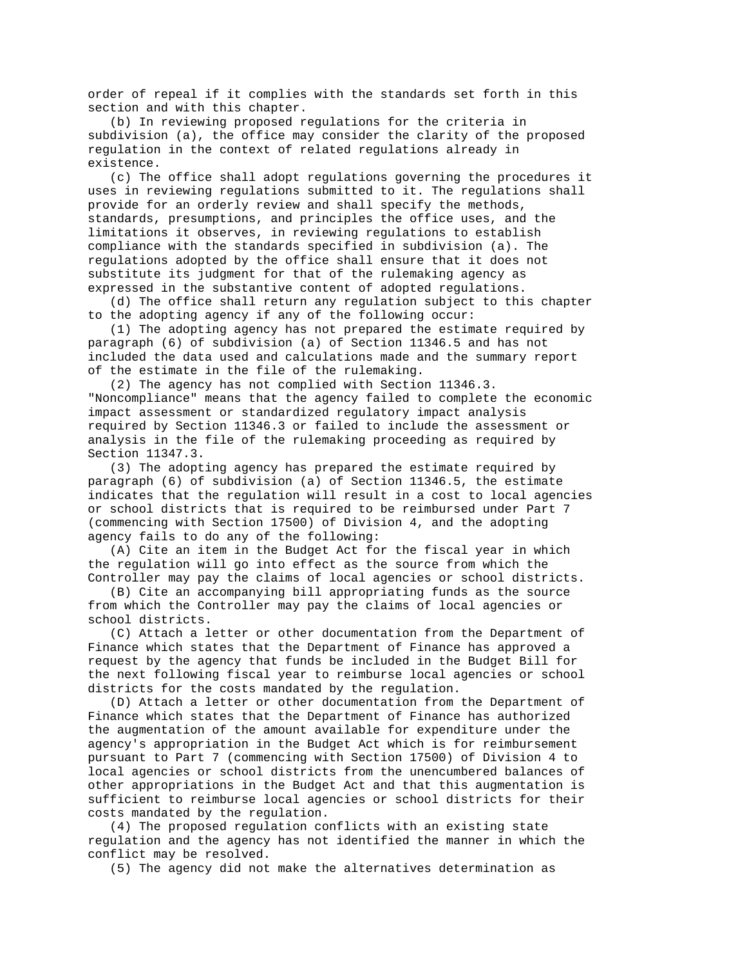order of repeal if it complies with the standards set forth in this section and with this chapter.

 (b) In reviewing proposed regulations for the criteria in subdivision (a), the office may consider the clarity of the proposed regulation in the context of related regulations already in existence.

 (c) The office shall adopt regulations governing the procedures it uses in reviewing regulations submitted to it. The regulations shall provide for an orderly review and shall specify the methods, standards, presumptions, and principles the office uses, and the limitations it observes, in reviewing regulations to establish compliance with the standards specified in subdivision (a). The regulations adopted by the office shall ensure that it does not substitute its judgment for that of the rulemaking agency as expressed in the substantive content of adopted regulations.

 (d) The office shall return any regulation subject to this chapter to the adopting agency if any of the following occur:

 (1) The adopting agency has not prepared the estimate required by paragraph (6) of subdivision (a) of Section 11346.5 and has not included the data used and calculations made and the summary report of the estimate in the file of the rulemaking.

 (2) The agency has not complied with Section 11346.3. "Noncompliance" means that the agency failed to complete the economic impact assessment or standardized regulatory impact analysis required by Section 11346.3 or failed to include the assessment or analysis in the file of the rulemaking proceeding as required by Section 11347.3.

 (3) The adopting agency has prepared the estimate required by paragraph (6) of subdivision (a) of Section 11346.5, the estimate indicates that the regulation will result in a cost to local agencies or school districts that is required to be reimbursed under Part 7 (commencing with Section 17500) of Division 4, and the adopting agency fails to do any of the following:

 (A) Cite an item in the Budget Act for the fiscal year in which the regulation will go into effect as the source from which the Controller may pay the claims of local agencies or school districts.

 (B) Cite an accompanying bill appropriating funds as the source from which the Controller may pay the claims of local agencies or school districts.

 (C) Attach a letter or other documentation from the Department of Finance which states that the Department of Finance has approved a request by the agency that funds be included in the Budget Bill for the next following fiscal year to reimburse local agencies or school districts for the costs mandated by the regulation.

 (D) Attach a letter or other documentation from the Department of Finance which states that the Department of Finance has authorized the augmentation of the amount available for expenditure under the agency's appropriation in the Budget Act which is for reimbursement pursuant to Part 7 (commencing with Section 17500) of Division 4 to local agencies or school districts from the unencumbered balances of other appropriations in the Budget Act and that this augmentation is sufficient to reimburse local agencies or school districts for their costs mandated by the regulation.

 (4) The proposed regulation conflicts with an existing state regulation and the agency has not identified the manner in which the conflict may be resolved.

(5) The agency did not make the alternatives determination as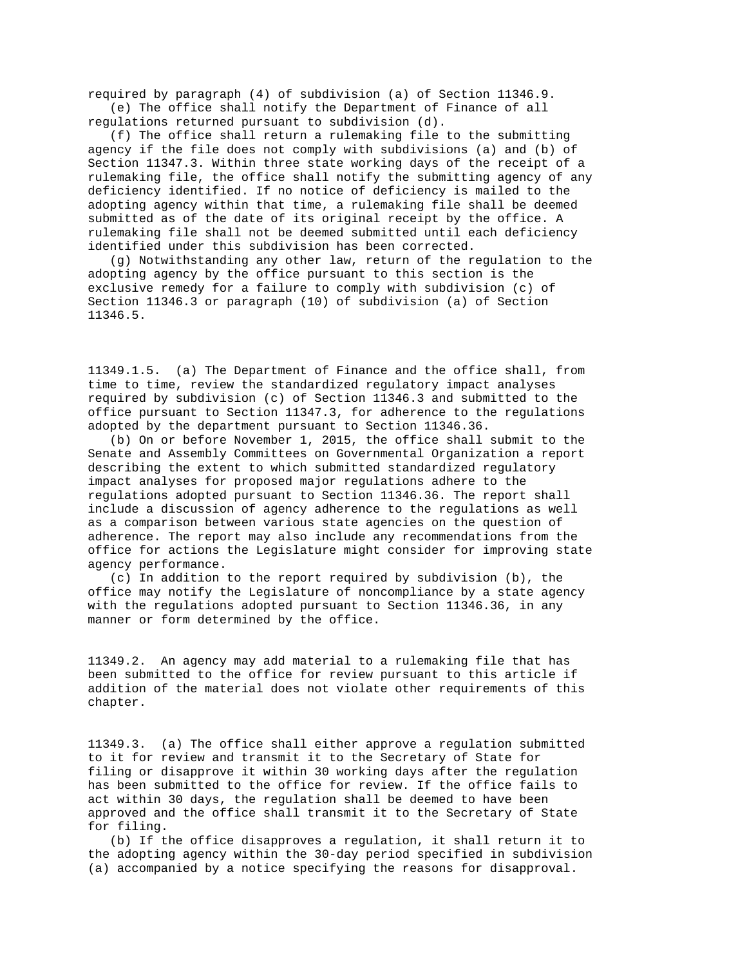required by paragraph (4) of subdivision (a) of Section 11346.9. (e) The office shall notify the Department of Finance of all regulations returned pursuant to subdivision (d).

 (f) The office shall return a rulemaking file to the submitting agency if the file does not comply with subdivisions (a) and (b) of Section 11347.3. Within three state working days of the receipt of a rulemaking file, the office shall notify the submitting agency of any deficiency identified. If no notice of deficiency is mailed to the adopting agency within that time, a rulemaking file shall be deemed submitted as of the date of its original receipt by the office. A rulemaking file shall not be deemed submitted until each deficiency identified under this subdivision has been corrected.

 (g) Notwithstanding any other law, return of the regulation to the adopting agency by the office pursuant to this section is the exclusive remedy for a failure to comply with subdivision (c) of Section 11346.3 or paragraph (10) of subdivision (a) of Section 11346.5.

11349.1.5. (a) The Department of Finance and the office shall, from time to time, review the standardized regulatory impact analyses required by subdivision (c) of Section 11346.3 and submitted to the office pursuant to Section 11347.3, for adherence to the regulations adopted by the department pursuant to Section 11346.36.

 (b) On or before November 1, 2015, the office shall submit to the Senate and Assembly Committees on Governmental Organization a report describing the extent to which submitted standardized regulatory impact analyses for proposed major regulations adhere to the regulations adopted pursuant to Section 11346.36. The report shall include a discussion of agency adherence to the regulations as well as a comparison between various state agencies on the question of adherence. The report may also include any recommendations from the office for actions the Legislature might consider for improving state agency performance.

 (c) In addition to the report required by subdivision (b), the office may notify the Legislature of noncompliance by a state agency with the regulations adopted pursuant to Section 11346.36, in any manner or form determined by the office.

11349.2. An agency may add material to a rulemaking file that has been submitted to the office for review pursuant to this article if addition of the material does not violate other requirements of this chapter.

11349.3. (a) The office shall either approve a regulation submitted to it for review and transmit it to the Secretary of State for filing or disapprove it within 30 working days after the regulation has been submitted to the office for review. If the office fails to act within 30 days, the regulation shall be deemed to have been approved and the office shall transmit it to the Secretary of State for filing.

 (b) If the office disapproves a regulation, it shall return it to the adopting agency within the 30-day period specified in subdivision (a) accompanied by a notice specifying the reasons for disapproval.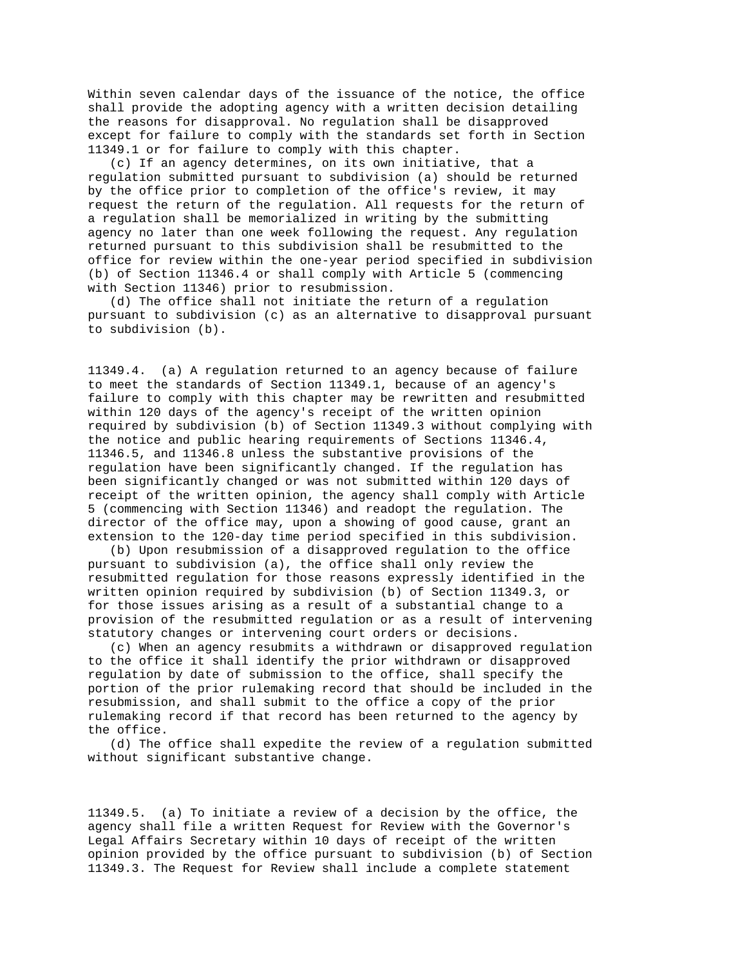Within seven calendar days of the issuance of the notice, the office shall provide the adopting agency with a written decision detailing the reasons for disapproval. No regulation shall be disapproved except for failure to comply with the standards set forth in Section 11349.1 or for failure to comply with this chapter.

 (c) If an agency determines, on its own initiative, that a regulation submitted pursuant to subdivision (a) should be returned by the office prior to completion of the office's review, it may request the return of the regulation. All requests for the return of a regulation shall be memorialized in writing by the submitting agency no later than one week following the request. Any regulation returned pursuant to this subdivision shall be resubmitted to the office for review within the one-year period specified in subdivision (b) of Section 11346.4 or shall comply with Article 5 (commencing with Section 11346) prior to resubmission.

 (d) The office shall not initiate the return of a regulation pursuant to subdivision (c) as an alternative to disapproval pursuant to subdivision (b).

11349.4. (a) A regulation returned to an agency because of failure to meet the standards of Section 11349.1, because of an agency's failure to comply with this chapter may be rewritten and resubmitted within 120 days of the agency's receipt of the written opinion required by subdivision (b) of Section 11349.3 without complying with the notice and public hearing requirements of Sections 11346.4, 11346.5, and 11346.8 unless the substantive provisions of the regulation have been significantly changed. If the regulation has been significantly changed or was not submitted within 120 days of receipt of the written opinion, the agency shall comply with Article 5 (commencing with Section 11346) and readopt the regulation. The director of the office may, upon a showing of good cause, grant an extension to the 120-day time period specified in this subdivision.

 (b) Upon resubmission of a disapproved regulation to the office pursuant to subdivision (a), the office shall only review the resubmitted regulation for those reasons expressly identified in the written opinion required by subdivision (b) of Section 11349.3, or for those issues arising as a result of a substantial change to a provision of the resubmitted regulation or as a result of intervening statutory changes or intervening court orders or decisions.

 (c) When an agency resubmits a withdrawn or disapproved regulation to the office it shall identify the prior withdrawn or disapproved regulation by date of submission to the office, shall specify the portion of the prior rulemaking record that should be included in the resubmission, and shall submit to the office a copy of the prior rulemaking record if that record has been returned to the agency by the office.

 (d) The office shall expedite the review of a regulation submitted without significant substantive change.

11349.5. (a) To initiate a review of a decision by the office, the agency shall file a written Request for Review with the Governor's Legal Affairs Secretary within 10 days of receipt of the written opinion provided by the office pursuant to subdivision (b) of Section 11349.3. The Request for Review shall include a complete statement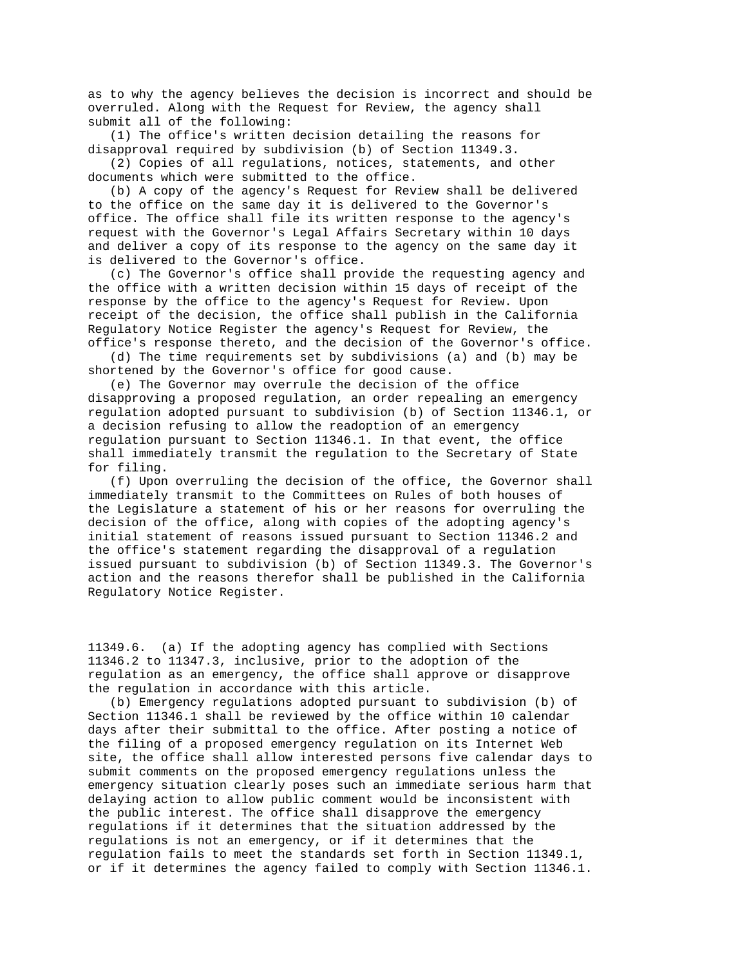as to why the agency believes the decision is incorrect and should be overruled. Along with the Request for Review, the agency shall submit all of the following:

 (1) The office's written decision detailing the reasons for disapproval required by subdivision (b) of Section 11349.3.

 (2) Copies of all regulations, notices, statements, and other documents which were submitted to the office.

 (b) A copy of the agency's Request for Review shall be delivered to the office on the same day it is delivered to the Governor's office. The office shall file its written response to the agency's request with the Governor's Legal Affairs Secretary within 10 days and deliver a copy of its response to the agency on the same day it is delivered to the Governor's office.

 (c) The Governor's office shall provide the requesting agency and the office with a written decision within 15 days of receipt of the response by the office to the agency's Request for Review. Upon receipt of the decision, the office shall publish in the California Regulatory Notice Register the agency's Request for Review, the office's response thereto, and the decision of the Governor's office.

 (d) The time requirements set by subdivisions (a) and (b) may be shortened by the Governor's office for good cause.

 (e) The Governor may overrule the decision of the office disapproving a proposed regulation, an order repealing an emergency regulation adopted pursuant to subdivision (b) of Section 11346.1, or a decision refusing to allow the readoption of an emergency regulation pursuant to Section 11346.1. In that event, the office shall immediately transmit the regulation to the Secretary of State for filing.

 (f) Upon overruling the decision of the office, the Governor shall immediately transmit to the Committees on Rules of both houses of the Legislature a statement of his or her reasons for overruling the decision of the office, along with copies of the adopting agency's initial statement of reasons issued pursuant to Section 11346.2 and the office's statement regarding the disapproval of a regulation issued pursuant to subdivision (b) of Section 11349.3. The Governor's action and the reasons therefor shall be published in the California Regulatory Notice Register.

11349.6. (a) If the adopting agency has complied with Sections 11346.2 to 11347.3, inclusive, prior to the adoption of the regulation as an emergency, the office shall approve or disapprove the regulation in accordance with this article.

 (b) Emergency regulations adopted pursuant to subdivision (b) of Section 11346.1 shall be reviewed by the office within 10 calendar days after their submittal to the office. After posting a notice of the filing of a proposed emergency regulation on its Internet Web site, the office shall allow interested persons five calendar days to submit comments on the proposed emergency regulations unless the emergency situation clearly poses such an immediate serious harm that delaying action to allow public comment would be inconsistent with the public interest. The office shall disapprove the emergency regulations if it determines that the situation addressed by the regulations is not an emergency, or if it determines that the regulation fails to meet the standards set forth in Section 11349.1, or if it determines the agency failed to comply with Section 11346.1.